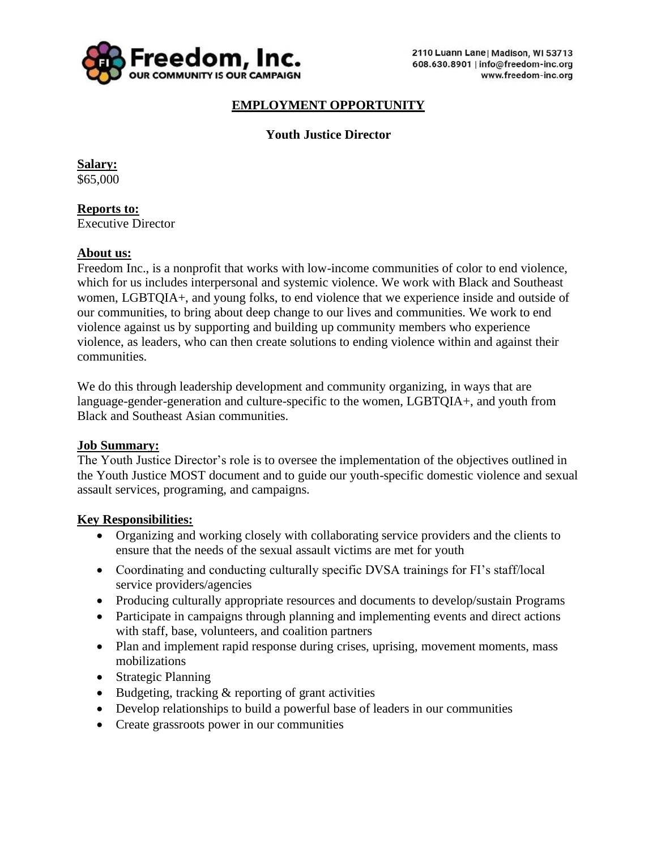

### **EMPLOYMENT OPPORTUNITY**

### **Youth Justice Director**

**Salary:** \$65,000

**Reports to:** Executive Director

#### **About us:**

Freedom Inc., is a nonprofit that works with low-income communities of color to end violence, which for us includes interpersonal and systemic violence. We work with Black and Southeast women, LGBTQIA+, and young folks, to end violence that we experience inside and outside of our communities, to bring about deep change to our lives and communities. We work to end violence against us by supporting and building up community members who experience violence, as leaders, who can then create solutions to ending violence within and against their communities.

We do this through leadership development and community organizing, in ways that are language-gender-generation and culture-specific to the women, LGBTQIA+, and youth from Black and Southeast Asian communities.

#### **Job Summary:**

The Youth Justice Director's role is to oversee the implementation of the objectives outlined in the Youth Justice MOST document and to guide our youth-specific domestic violence and sexual assault services, programing, and campaigns.

#### **Key Responsibilities:**

- Organizing and working closely with collaborating service providers and the clients to ensure that the needs of the sexual assault victims are met for youth
- Coordinating and conducting culturally specific DVSA trainings for FI's staff/local service providers/agencies
- Producing culturally appropriate resources and documents to develop/sustain Programs
- Participate in campaigns through planning and implementing events and direct actions with staff, base, volunteers, and coalition partners
- Plan and implement rapid response during crises, uprising, movement moments, mass mobilizations
- Strategic Planning
- Budgeting, tracking & reporting of grant activities
- Develop relationships to build a powerful base of leaders in our communities
- Create grassroots power in our communities